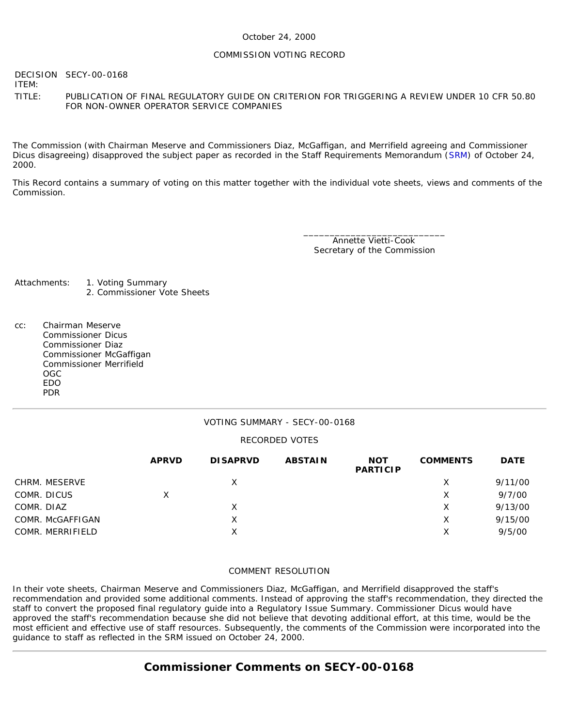### October 24, 2000

#### COMMISSION VOTING RECORD

DECISION SECY-00-0168

ITEM:

TITLE: PUBLICATION OF FINAL REGULATORY GUIDE ON CRITERION FOR TRIGGERING A REVIEW UNDER 10 CFR 50.80 FOR NON-OWNER OPERATOR SERVICE COMPANIES

The Commission (with Chairman Meserve and Commissioners Diaz, McGaffigan, and Merrifield agreeing and Commissioner Dicus disagreeing) disapproved the subject paper as recorded in the Staff Requirements Memorandum ([SRM](http://www.nrc.gov/reading-rm/doc-collections/commission/srm/2000/2000-0168srm.html)) of October 24, 2000.

This Record contains a summary of voting on this matter together with the individual vote sheets, views and comments of the Commission.

> \_\_\_\_\_\_\_\_\_\_\_\_\_\_\_\_\_\_\_\_\_\_\_\_\_\_\_ Annette Vietti-Cook Secretary of the Commission

- Attachments: 1. Voting Summary 2. Commissioner Vote Sheets
- cc: Chairman Meserve Commissioner Dicus Commissioner Diaz Commissioner McGaffigan Commissioner Merrifield OGC EDO PDR

### VOTING SUMMARY - SECY-00-0168

### RECORDED VOTES

|                  | <b>APRVD</b> | <b>DISAPRVD</b> | <b>ABSTAIN</b> | <b>NOT</b><br><b>PARTICIP</b> | <b>COMMENTS</b> | <b>DATE</b> |
|------------------|--------------|-----------------|----------------|-------------------------------|-----------------|-------------|
| CHRM. MESERVE    |              | X               |                |                               | Х               | 9/11/00     |
| COMR. DICUS      | x            |                 |                |                               | х               | 9/7/00      |
| COMR. DIAZ       |              | X               |                |                               | х               | 9/13/00     |
| COMR. McGAFFIGAN |              | X               |                |                               | х               | 9/15/00     |
| COMR. MERRIFIELD |              | X               |                |                               | Х               | 9/5/00      |

### COMMENT RESOLUTION

In their vote sheets, Chairman Meserve and Commissioners Diaz, McGaffigan, and Merrifield disapproved the staff's recommendation and provided some additional comments. Instead of approving the staff's recommendation, they directed the staff to convert the proposed final regulatory guide into a Regulatory Issue Summary. Commissioner Dicus would have approved the staff's recommendation because she did not believe that devoting additional effort, at this time, would be the most efficient and effective use of staff resources. Subsequently, the comments of the Commission were incorporated into the guidance to staff as reflected in the SRM issued on October 24, 2000.

## **Commissioner Comments on [SECY-00-0168](http://www.nrc.gov/reading-rm/doc-collections/commission/secys/2000/secy2000-0168/2000-0168scy.html)**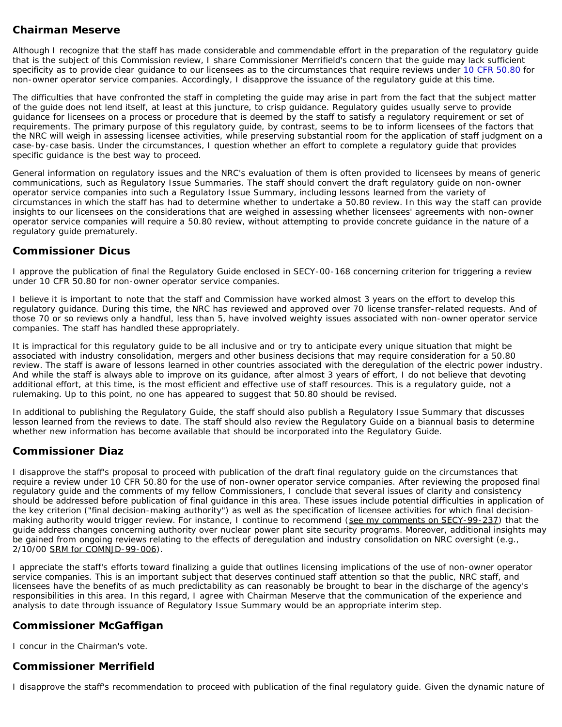# **Chairman Meserve**

Although I recognize that the staff has made considerable and commendable effort in the preparation of the regulatory guide that is the subject of this Commission review, I share Commissioner Merrifield's concern that the guide may lack sufficient specificity as to provide clear guidance to our licensees as to the circumstances that require reviews under [10 CFR 50.80](http://www.nrc.gov/reading-rm/doc-collections/cfr/part050/part050-0080.html) for non-owner operator service companies. Accordingly, I disapprove the issuance of the regulatory guide at this time.

The difficulties that have confronted the staff in completing the guide may arise in part from the fact that the subject matter of the guide does not lend itself, at least at this juncture, to crisp guidance. Regulatory guides usually serve to provide guidance for licensees on a process or procedure that is deemed by the staff to satisfy a regulatory requirement or set of requirements. The primary purpose of this regulatory guide, by contrast, seems to be to inform licensees of the factors that the NRC will weigh in assessing licensee activities, while preserving substantial room for the application of staff judgment on a case-by-case basis. Under the circumstances, I question whether an effort to complete a regulatory guide that provides specific guidance is the best way to proceed.

General information on regulatory issues and the NRC's evaluation of them is often provided to licensees by means of generic communications, such as Regulatory Issue Summaries. The staff should convert the draft regulatory guide on non-owner operator service companies into such a Regulatory Issue Summary, including lessons learned from the variety of circumstances in which the staff has had to determine whether to undertake a 50.80 review. In this way the staff can provide insights to our licensees on the considerations that are weighed in assessing whether licensees' agreements with non-owner operator service companies will require a 50.80 review, without attempting to provide concrete guidance in the nature of a regulatory guide prematurely.

## **Commissioner Dicus**

I approve the publication of final the Regulatory Guide enclosed in SECY-00-168 concerning criterion for triggering a review under 10 CFR 50.80 for non-owner operator service companies.

I believe it is important to note that the staff and Commission have worked almost 3 years on the effort to develop this regulatory guidance. During this time, the NRC has reviewed and approved over 70 license transfer-related requests. And of those 70 or so reviews only a handful, less than 5, have involved weighty issues associated with non-owner operator service companies. The staff has handled these appropriately.

It is impractical for this regulatory guide to be all inclusive and or try to anticipate every unique situation that might be associated with industry consolidation, mergers and other business decisions that may require consideration for a 50.80 review. The staff is aware of lessons learned in other countries associated with the deregulation of the electric power industry. And while the staff is always able to improve on its guidance, after almost 3 years of effort, I do not believe that devoting additional effort, at this time, is the most efficient and effective use of staff resources. This is a regulatory guide, not a rulemaking. Up to this point, no one has appeared to suggest that 50.80 should be revised.

In additional to publishing the Regulatory Guide, the staff should also publish a Regulatory Issue Summary that discusses lesson learned from the reviews to date. The staff should also review the Regulatory Guide on a biannual basis to determine whether new information has become available that should be incorporated into the Regulatory Guide.

## **Commissioner Diaz**

I disapprove the staff's proposal to proceed with publication of the draft final regulatory guide on the circumstances that require a review under 10 CFR 50.80 for the use of non-owner operator service companies. After reviewing the proposed final regulatory guide and the comments of my fellow Commissioners, I conclude that several issues of clarity and consistency should be addressed before publication of final guidance in this area. These issues include potential difficulties in application of the key criterion ("final decision-making authority") as well as the specification of licensee activities for which final decisionmaking authority would trigger review. For instance, I continue to recommend (see my comments on SECY-99-237) that the guide address changes concerning authority over nuclear power plant site security programs. Moreover, additional insights may be gained from ongoing reviews relating to the effects of deregulation and industry consolidation on NRC oversight (e.g., 2/10/00 SRM for COMNJD-99-006).

I appreciate the staff's efforts toward finalizing a guide that outlines licensing implications of the use of non-owner operator service companies. This is an important subject that deserves continued staff attention so that the public, NRC staff, and licensees have the benefits of as much predictability as can reasonably be brought to bear in the discharge of the agency's responsibilities in this area. In this regard, I agree with Chairman Meserve that the communication of the experience and analysis to date through issuance of Regulatory Issue Summary would be an appropriate interim step.

## **Commissioner McGaffigan**

I concur in the Chairman's vote.

## **Commissioner Merrifield**

I disapprove the staff's recommendation to proceed with publication of the final regulatory guide. Given the dynamic nature of